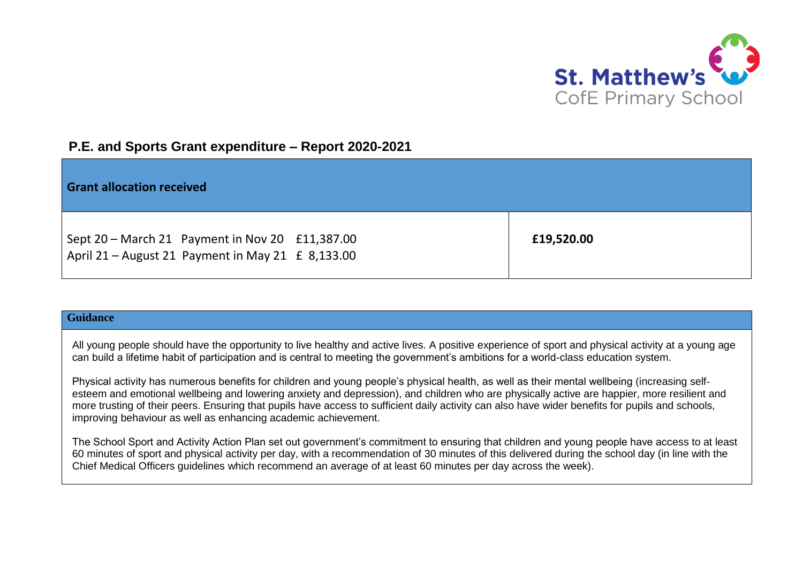

## **P.E. and Sports Grant expenditure – Report 2020-2021**

| <b>Grant allocation received</b>                                                                     |            |
|------------------------------------------------------------------------------------------------------|------------|
| Sept 20 - March 21 Payment in Nov 20 £11,387.00<br>April 21 - August 21 Payment in May 21 £ 8,133.00 | £19,520.00 |

## **Guidance**

All young people should have the opportunity to live healthy and active lives. A positive experience of sport and physical activity at a young age can build a lifetime habit of participation and is central to meeting the government's ambitions for a world-class education system.

Physical activity has numerous benefits for children and young people's physical health, as well as their mental wellbeing (increasing selfesteem and emotional wellbeing and lowering anxiety and depression), and children who are physically active are happier, more resilient and more trusting of their peers. Ensuring that pupils have access to sufficient daily activity can also have wider benefits for pupils and schools, improving behaviour as well as enhancing academic achievement.

The School Sport and Activity Action Plan set out government's commitment to ensuring that children and young people have access to at least 60 minutes of sport and physical activity per day, with a recommendation of 30 minutes of this delivered during the school day (in line with the Chief Medical Officers guidelines which recommend an average of at least 60 minutes per day across the week).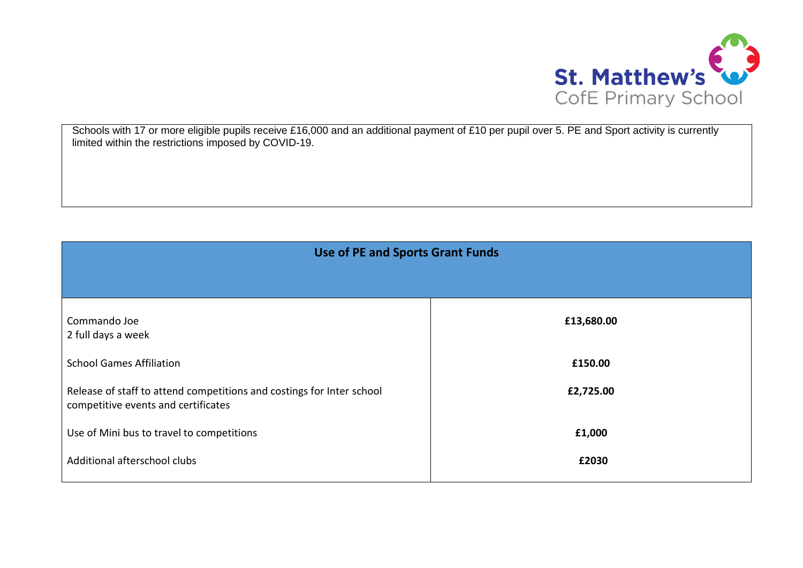

Schools with 17 or more eligible pupils receive £16,000 and an additional payment of £10 per pupil over 5. PE and Sport activity is currently limited within the restrictions imposed by COVID-19.

| <b>Use of PE and Sports Grant Funds</b>                                                                      |            |  |
|--------------------------------------------------------------------------------------------------------------|------------|--|
|                                                                                                              |            |  |
| Commando Joe<br>2 full days a week                                                                           | £13,680.00 |  |
| <b>School Games Affiliation</b>                                                                              | £150.00    |  |
| Release of staff to attend competitions and costings for Inter school<br>competitive events and certificates | £2,725.00  |  |
| Use of Mini bus to travel to competitions                                                                    | £1,000     |  |
| Additional afterschool clubs                                                                                 | £2030      |  |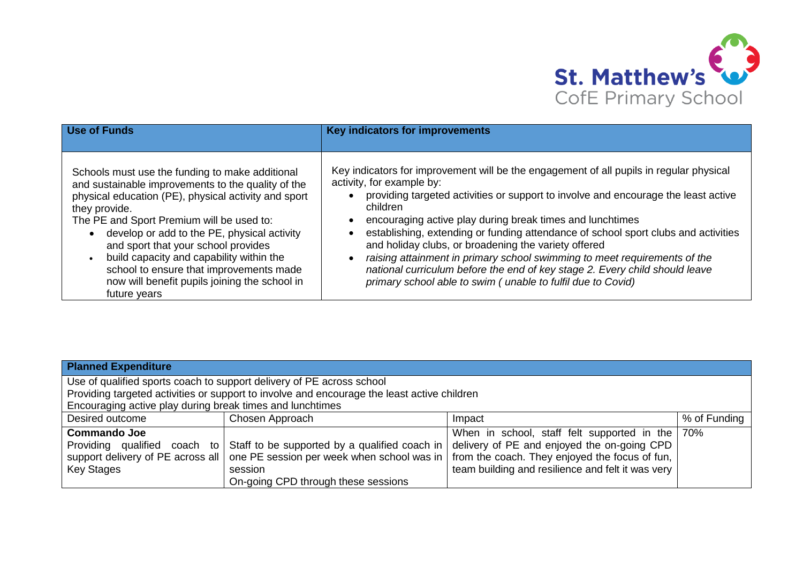

| <b>Use of Funds</b>                                                                                                                                                                                                                                                                                                                                                                                                                                                       | Key indicators for improvements                                                                                                                                                                                                                                                                                                                                                                                                                                                                                                                                                                                                                              |
|---------------------------------------------------------------------------------------------------------------------------------------------------------------------------------------------------------------------------------------------------------------------------------------------------------------------------------------------------------------------------------------------------------------------------------------------------------------------------|--------------------------------------------------------------------------------------------------------------------------------------------------------------------------------------------------------------------------------------------------------------------------------------------------------------------------------------------------------------------------------------------------------------------------------------------------------------------------------------------------------------------------------------------------------------------------------------------------------------------------------------------------------------|
| Schools must use the funding to make additional<br>and sustainable improvements to the quality of the<br>physical education (PE), physical activity and sport<br>they provide.<br>The PE and Sport Premium will be used to:<br>develop or add to the PE, physical activity<br>and sport that your school provides<br>build capacity and capability within the<br>school to ensure that improvements made<br>now will benefit pupils joining the school in<br>future years | Key indicators for improvement will be the engagement of all pupils in regular physical<br>activity, for example by:<br>providing targeted activities or support to involve and encourage the least active<br>children<br>encouraging active play during break times and lunchtimes<br>establishing, extending or funding attendance of school sport clubs and activities<br>and holiday clubs, or broadening the variety offered<br>raising attainment in primary school swimming to meet requirements of the<br>national curriculum before the end of key stage 2. Every child should leave<br>primary school able to swim (unable to fulfil due to Covid) |

| <b>Planned Expenditure</b>                                                                  |                                               |                                                   |              |  |
|---------------------------------------------------------------------------------------------|-----------------------------------------------|---------------------------------------------------|--------------|--|
| Use of qualified sports coach to support delivery of PE across school                       |                                               |                                                   |              |  |
| Providing targeted activities or support to involve and encourage the least active children |                                               |                                                   |              |  |
| Encouraging active play during break times and lunchtimes                                   |                                               |                                                   |              |  |
| Desired outcome                                                                             | Chosen Approach                               | Impact                                            | % of Funding |  |
| <b>Commando Joe</b>                                                                         |                                               | When in school, staff felt supported in the   70% |              |  |
| Providing qualified coach to                                                                | Staff to be supported by a qualified coach in | delivery of PE and enjoyed the on-going CPD       |              |  |
| support delivery of PE across all                                                           | one PE session per week when school was in    | from the coach. They enjoyed the focus of fun,    |              |  |
| <b>Key Stages</b>                                                                           | session                                       | team building and resilience and felt it was very |              |  |
|                                                                                             | On-going CPD through these sessions           |                                                   |              |  |